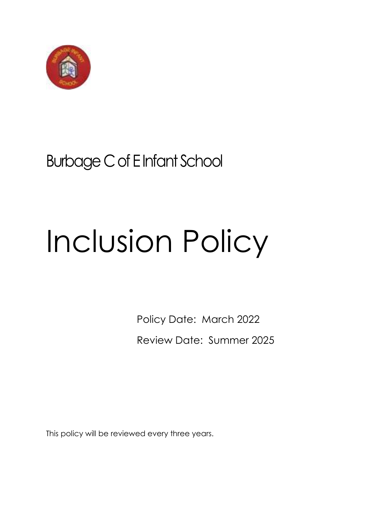

# Burbage C of E Infant School

# Inclusion Policy

Policy Date: March 2022 Review Date: Summer 2025

This policy will be reviewed every three years.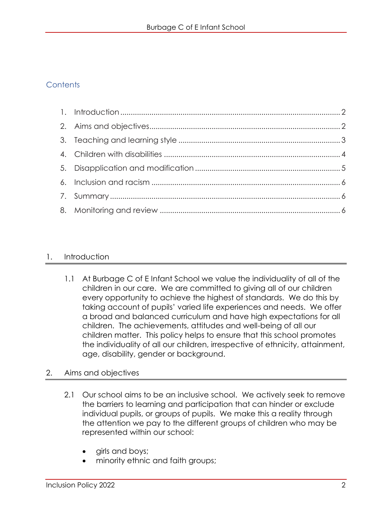# **Contents**

#### <span id="page-1-0"></span>1. Introduction

1.1 At Burbage C of E Infant School we value the individuality of all of the children in our care. We are committed to giving all of our children every opportunity to achieve the highest of standards. We do this by taking account of pupils' varied life experiences and needs. We offer a broad and balanced curriculum and have high expectations for all children. The achievements, attitudes and well-being of all our children matter. This policy helps to ensure that this school promotes the individuality of all our children, irrespective of ethnicity, attainment, age, disability, gender or background.

#### <span id="page-1-1"></span>2. Aims and objectives

- 2.1 Our school aims to be an inclusive school. We actively seek to remove the barriers to learning and participation that can hinder or exclude individual pupils, or groups of pupils. We make this a reality through the attention we pay to the different groups of children who may be represented within our school:
	- girls and boys;
	- minority ethnic and faith groups;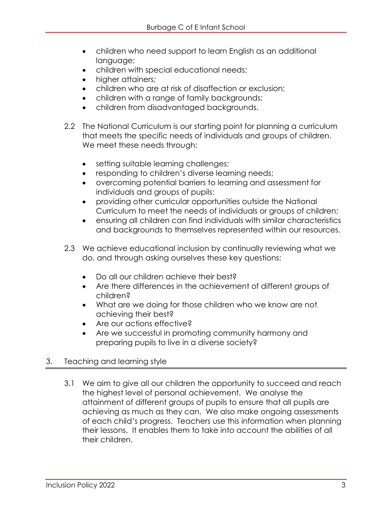- children who need support to learn English as an additional language;
- children with special educational needs;
- higher attainers;
- children who are at risk of disaffection or exclusion;
- children with a range of family backgrounds;
- children from disadvantaged backgrounds.
- 2.2 The National Curriculum is our starting point for planning a curriculum that meets the specific needs of individuals and groups of children. We meet these needs through:
	- setting suitable learning challenges;
	- responding to children's diverse learning needs;
	- overcoming potential barriers to learning and assessment for individuals and groups of pupils;
	- providing other curricular opportunities outside the National Curriculum to meet the needs of individuals or groups of children;
	- ensuring all children can find individuals with similar characteristics and backgrounds to themselves represented within our resources.
- 2.3 We achieve educational inclusion by continually reviewing what we do, and through asking ourselves these key questions:
	- Do all our children achieve their best?
	- Are there differences in the achievement of different groups of children?
	- What are we doing for those children who we know are not achieving their best?
	- Are our actions effective?
	- Are we successful in promoting community harmony and preparing pupils to live in a diverse society?

## <span id="page-2-0"></span>3. Teaching and learning style

3.1 We aim to give all our children the opportunity to succeed and reach the highest level of personal achievement. We analyse the attainment of different groups of pupils to ensure that all pupils are achieving as much as they can. We also make ongoing assessments of each child's progress. Teachers use this information when planning their lessons. It enables them to take into account the abilities of all their children.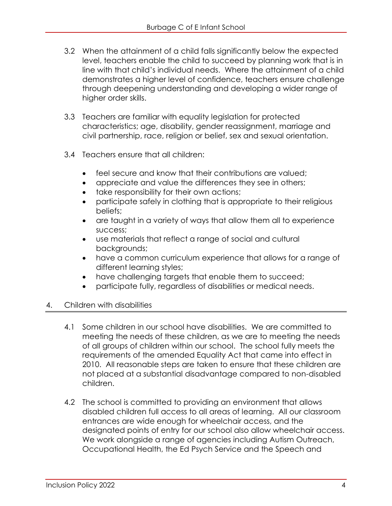- 3.2 When the attainment of a child falls significantly below the expected level, teachers enable the child to succeed by planning work that is in line with that child's individual needs. Where the attainment of a child demonstrates a higher level of confidence, teachers ensure challenge through deepening understanding and developing a wider range of higher order skills.
- 3.3 Teachers are familiar with equality legislation for protected characteristics; age, disability, gender reassignment, marriage and civil partnership, race, religion or belief, sex and sexual orientation.
- 3.4 Teachers ensure that all children:
	- feel secure and know that their contributions are valued;
	- appreciate and value the differences they see in others;
	- take responsibility for their own actions;
	- participate safely in clothing that is appropriate to their religious beliefs;
	- are taught in a variety of ways that allow them all to experience success;
	- use materials that reflect a range of social and cultural backgrounds;
	- have a common curriculum experience that allows for a range of different learning styles;
	- have challenging targets that enable them to succeed;
	- participate fully, regardless of disabilities or medical needs.

#### <span id="page-3-0"></span>4. Children with disabilities

- 4.1 Some children in our school have disabilities. We are committed to meeting the needs of these children, as we are to meeting the needs of all groups of children within our school. The school fully meets the requirements of the amended Equality Act that came into effect in 2010. All reasonable steps are taken to ensure that these children are not placed at a substantial disadvantage compared to non-disabled children.
- 4.2 The school is committed to providing an environment that allows disabled children full access to all areas of learning. All our classroom entrances are wide enough for wheelchair access, and the designated points of entry for our school also allow wheelchair access. We work alongside a range of agencies including Autism Outreach, Occupational Health, the Ed Psych Service and the Speech and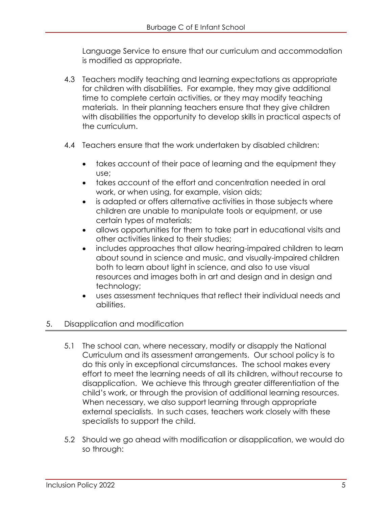Language Service to ensure that our curriculum and accommodation is modified as appropriate.

- 4.3 Teachers modify teaching and learning expectations as appropriate for children with disabilities. For example, they may give additional time to complete certain activities, or they may modify teaching materials. In their planning teachers ensure that they give children with disabilities the opportunity to develop skills in practical aspects of the curriculum.
- 4.4 Teachers ensure that the work undertaken by disabled children:
	- takes account of their pace of learning and the equipment they use;
	- takes account of the effort and concentration needed in oral work, or when using, for example, vision aids;
	- is adapted or offers alternative activities in those subjects where children are unable to manipulate tools or equipment, or use certain types of materials;
	- allows opportunities for them to take part in educational visits and other activities linked to their studies;
	- includes approaches that allow hearing-impaired children to learn about sound in science and music, and visually-impaired children both to learn about light in science, and also to use visual resources and images both in art and design and in design and technology;
	- uses assessment techniques that reflect their individual needs and abilities.

#### <span id="page-4-0"></span>5. Disapplication and modification

- 5.1 The school can, where necessary, modify or disapply the National Curriculum and its assessment arrangements. Our school policy is to do this only in exceptional circumstances. The school makes every effort to meet the learning needs of all its children, without recourse to disapplication. We achieve this through greater differentiation of the child's work, or through the provision of additional learning resources. When necessary, we also support learning through appropriate external specialists. In such cases, teachers work closely with these specialists to support the child.
- 5.2 Should we go ahead with modification or disapplication, we would do so through: